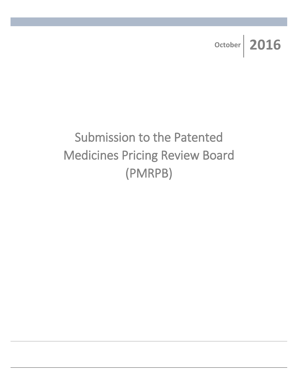**October 2016**

# Submission to the Patented Medicines Pricing Review Board (PMRPB)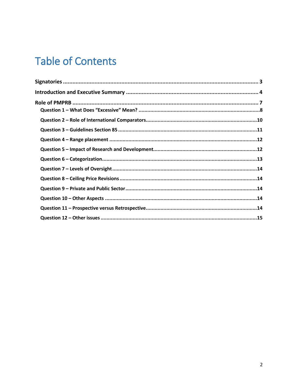# **Table of Contents**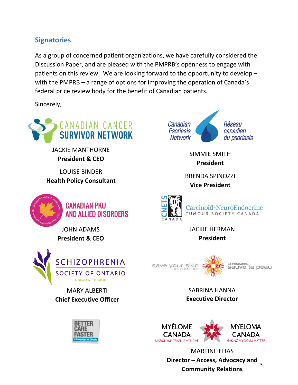# **Signatories**

As a group of concerned patient organizations, we have carefully considered the Discussion Paper, and are pleased with the PMPRB's openness to engage with patients on this review. We are looking forward to the opportunity to develop – with the PMPRB – a range of options for improving the operation of Canada's federal price review body for the benefit of Canadian patients.

Sincerely,



JACKIE MANTHORNE **President & CEO**

LOUISE BINDER **Health Policy Consultant**



**CANADIAN PKU** AND ALLIED DISORDERS

JOHN ADAMS **President & CEO**



MARY ALBERTI **Chief Executive Officer**





SIMMIE SMITH **President**

BRENDA SPINOZZI **Vice President**



JACKIE HERMAN **President**



SABRINA HANNA **Executive Director**



3 MARTINE ELIAS **Director – Access, Advocacy and Community Relations**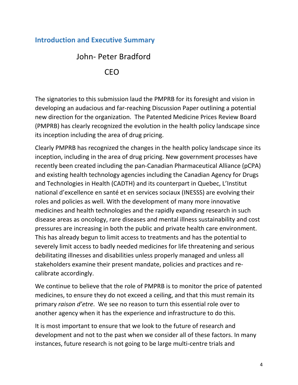## **Introduction and Executive Summary**

# John- Peter Bradford CEO

The signatories to this submission laud the PMPRB for its foresight and vision in developing an audacious and far-reaching Discussion Paper outlining a potential new direction for the organization. The Patented Medicine Prices Review Board (PMPRB) has clearly recognized the evolution in the health policy landscape since its inception including the area of drug pricing.

Clearly PMPRB has recognized the changes in the health policy landscape since its inception, including in the area of drug pricing. New government processes have recently been created including the pan-Canadian Pharmaceutical Alliance (pCPA) and existing health technology agencies including the Canadian Agency for Drugs and Technologies in Health (CADTH) and its counterpart in Quebec, L'Institut national d'excellence en santé et en services sociaux (INESSS) are evolving their roles and policies as well. With the development of many more innovative medicines and health technologies and the rapidly expanding research in such disease areas as oncology, rare diseases and mental illness sustainability and cost pressures are increasing in both the public and private health care environment. This has already begun to limit access to treatments and has the potential to severely limit access to badly needed medicines for life threatening and serious debilitating illnesses and disabilities unless properly managed and unless all stakeholders examine their present mandate, policies and practices and recalibrate accordingly.

We continue to believe that the role of PMPRB is to monitor the price of patented medicines, to ensure they do not exceed a ceiling, and that this must remain its primary *raison d'etre*. We see no reason to turn this essential role over to another agency when it has the experience and infrastructure to do this.

It is most important to ensure that we look to the future of research and development and not to the past when we consider all of these factors. In many instances, future research is not going to be large multi-centre trials and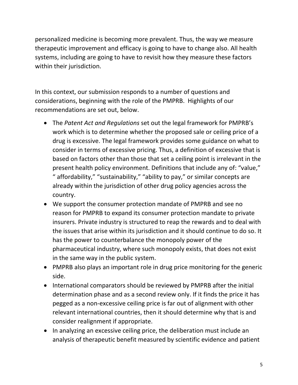personalized medicine is becoming more prevalent. Thus, the way we measure therapeutic improvement and efficacy is going to have to change also. All health systems, including are going to have to revisit how they measure these factors within their jurisdiction.

In this context, our submission responds to a number of questions and considerations, beginning with the role of the PMPRB. Highlights of our recommendations are set out, below.

- The *Patent Act and Regulations* set out the legal framework for PMPRB's work which is to determine whether the proposed sale or ceiling price of a drug is excessive. The legal framework provides some guidance on what to consider in terms of excessive pricing. Thus, a definition of excessive that is based on factors other than those that set a ceiling point is irrelevant in the present health policy environment. Definitions that include any of: "value," " affordability," "sustainability," "ability to pay," or similar concepts are already within the jurisdiction of other drug policy agencies across the country.
- We support the consumer protection mandate of PMPRB and see no reason for PMPRB to expand its consumer protection mandate to private insurers. Private industry is structured to reap the rewards and to deal with the issues that arise within its jurisdiction and it should continue to do so. It has the power to counterbalance the monopoly power of the pharmaceutical industry, where such monopoly exists, that does not exist in the same way in the public system.
- PMPRB also plays an important role in drug price monitoring for the generic side.
- International comparators should be reviewed by PMPRB after the initial determination phase and as a second review only. If it finds the price it has pegged as a non-excessive ceiling price is far out of alignment with other relevant international countries, then it should determine why that is and consider realignment if appropriate.
- In analyzing an excessive ceiling price, the deliberation must include an analysis of therapeutic benefit measured by scientific evidence and patient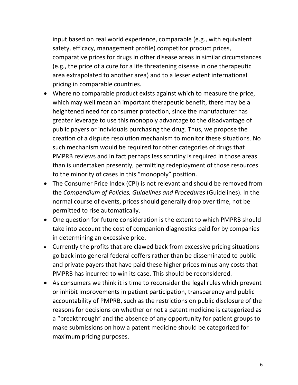input based on real world experience, comparable (e.g., with equivalent safety, efficacy, management profile) competitor product prices, comparative prices for drugs in other disease areas in similar circumstances (e.g., the price of a cure for a life threatening disease in one therapeutic area extrapolated to another area) and to a lesser extent international pricing in comparable countries.

- Where no comparable product exists against which to measure the price, which may well mean an important therapeutic benefit, there may be a heightened need for consumer protection, since the manufacturer has greater leverage to use this monopoly advantage to the disadvantage of public payers or individuals purchasing the drug. Thus, we propose the creation of a dispute resolution mechanism to monitor these situations. No such mechanism would be required for other categories of drugs that PMPRB reviews and in fact perhaps less scrutiny is required in those areas than is undertaken presently, permitting redeployment of those resources to the minority of cases in this "monopoly" position.
- The Consumer Price Index (CPI) is not relevant and should be removed from the *Compendium of Policies, Guidelines and Procedures* (Guidelines). In the normal course of events, prices should generally drop over time, not be permitted to rise automatically.
- One question for future consideration is the extent to which PMPRB should take into account the cost of companion diagnostics paid for by companies in determining an excessive price.
- Currently the profits that are clawed back from excessive pricing situations go back into general federal coffers rather than be disseminated to public and private payers that have paid these higher prices minus any costs that PMPRB has incurred to win its case. This should be reconsidered.
- As consumers we think it is time to reconsider the legal rules which prevent or inhibit improvements in patient participation, transparency and public accountability of PMPRB, such as the restrictions on public disclosure of the reasons for decisions on whether or not a patent medicine is categorized as a "breakthrough" and the absence of any opportunity for patient groups to make submissions on how a patent medicine should be categorized for maximum pricing purposes.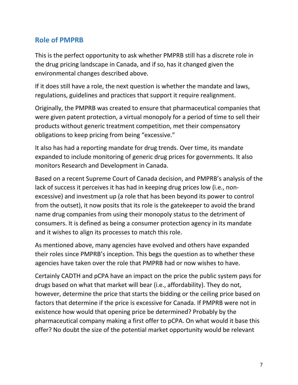## **Role of PMPRB**

This is the perfect opportunity to ask whether PMPRB still has a discrete role in the drug pricing landscape in Canada, and if so, has it changed given the environmental changes described above.

If it does still have a role, the next question is whether the mandate and laws, regulations, guidelines and practices that support it require realignment.

Originally, the PMPRB was created to ensure that pharmaceutical companies that were given patent protection, a virtual monopoly for a period of time to sell their products without generic treatment competition, met their compensatory obligations to keep pricing from being "excessive."

It also has had a reporting mandate for drug trends. Over time, its mandate expanded to include monitoring of generic drug prices for governments. It also monitors Research and Development in Canada.

Based on a recent Supreme Court of Canada decision, and PMPRB's analysis of the lack of success it perceives it has had in keeping drug prices low (i.e., nonexcessive) and investment up (a role that has been beyond its power to control from the outset), it now posits that its role is the gatekeeper to avoid the brand name drug companies from using their monopoly status to the detriment of consumers. It is defined as being a consumer protection agency in its mandate and it wishes to align its processes to match this role.

As mentioned above, many agencies have evolved and others have expanded their roles since PMPRB's inception. This begs the question as to whether these agencies have taken over the role that PMPRB had or now wishes to have.

Certainly CADTH and pCPA have an impact on the price the public system pays for drugs based on what that market will bear (i.e., affordability). They do not, however, determine the price that starts the bidding or the ceiling price based on factors that determine if the price is excessive for Canada. If PMPRB were not in existence how would that opening price be determined? Probably by the pharmaceutical company making a first offer to pCPA. On what would it base this offer? No doubt the size of the potential market opportunity would be relevant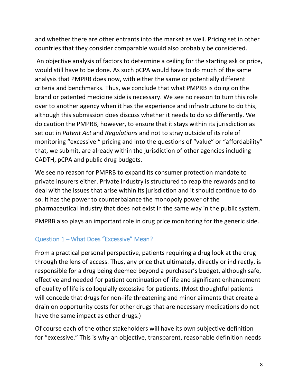and whether there are other entrants into the market as well. Pricing set in other countries that they consider comparable would also probably be considered.

An objective analysis of factors to determine a ceiling for the starting ask or price, would still have to be done. As such pCPA would have to do much of the same analysis that PMPRB does now, with either the same or potentially different criteria and benchmarks. Thus, we conclude that what PMPRB is doing on the brand or patented medicine side is necessary. We see no reason to turn this role over to another agency when it has the experience and infrastructure to do this, although this submission does discuss whether it needs to do so differently. We do caution the PMPRB, however, to ensure that it stays within its jurisdiction as set out in *Patent Act* and *Regulations* and not to stray outside of its role of monitoring "excessive " pricing and into the questions of "value" or "affordability" that, we submit, are already within the jurisdiction of other agencies including CADTH, pCPA and public drug budgets.

We see no reason for PMPRB to expand its consumer protection mandate to private insurers either. Private industry is structured to reap the rewards and to deal with the issues that arise within its jurisdiction and it should continue to do so. It has the power to counterbalance the monopoly power of the pharmaceutical industry that does not exist in the same way in the public system.

PMPRB also plays an important role in drug price monitoring for the generic side.

#### Question 1 – What Does "Excessive" Mean?

From a practical personal perspective, patients requiring a drug look at the drug through the lens of access. Thus, any price that ultimately, directly or indirectly, is responsible for a drug being deemed beyond a purchaser's budget, although safe, effective and needed for patient continuation of life and significant enhancement of quality of life is colloquially excessive for patients. (Most thoughtful patients will concede that drugs for non-life threatening and minor ailments that create a drain on opportunity costs for other drugs that are necessary medications do not have the same impact as other drugs.)

Of course each of the other stakeholders will have its own subjective definition for "excessive." This is why an objective, transparent, reasonable definition needs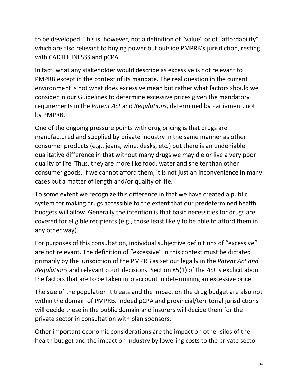to be developed. This is, however, not a definition of "value" or of "affordability" which are also relevant to buying power but outside PMPRB's jurisdiction, resting with CADTH, INESSS and pCPA.

In fact, what any stakeholder would describe as excessive is not relevant to PMPRB except in the context of its mandate. The real question in the current environment is not what does excessive mean but rather what factors should we consider in our Guidelines to determine excessive prices given the mandatory requirements in the *Patent Act* and *Regulations*, determined by Parliament, not by PMPRB.

One of the ongoing pressure points with drug pricing is that drugs are manufactured and supplied by private industry in the same manner as other consumer products (e.g., jeans, wine, desks, etc.) but there is an undeniable qualitative difference in that without many drugs we may die or live a very poor quality of life. Thus, they are more like food, water and shelter than other consumer goods. If we cannot afford them, it is not just an inconvenience in many cases but a matter of length and/or quality of life.

To some extent we recognize this difference in that we have created a public system for making drugs accessible to the extent that our predetermined health budgets will allow. Generally the intention is that basic necessities for drugs are covered for eligible recipients (e.g., those least likely to be able to afford them in any other way).

For purposes of this consultation, individual subjective definitions of "excessive" are not relevant. The definition of "excessive" in this context must be dictated primarily by the jurisdiction of the PMPRB as set out legally in the *Patent Act and Regulations* and relevant court decisions. Section 85(1) of the *Act* is explicit about the factors that are to be taken into account in determining an excessive price.

The size of the population it treats and the impact on the drug budget are also not within the domain of PMPRB. Indeed pCPA and provincial/territorial jurisdictions will decide these in the public domain and insurers will decide them for the private sector in consultation with plan sponsors.

Other important economic considerations are the impact on other silos of the health budget and the impact on industry by lowering costs to the private sector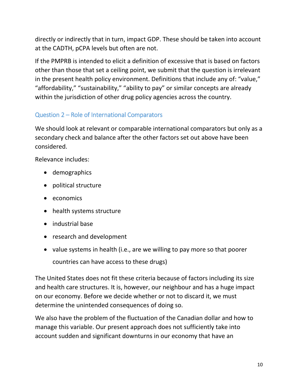directly or indirectly that in turn, impact GDP. These should be taken into account at the CADTH, pCPA levels but often are not.

If the PMPRB is intended to elicit a definition of excessive that is based on factors other than those that set a ceiling point, we submit that the question is irrelevant in the present health policy environment. Definitions that include any of: "value," "affordability," "sustainability," "ability to pay" or similar concepts are already within the jurisdiction of other drug policy agencies across the country.

### Question 2 – Role of International Comparators

We should look at relevant or comparable international comparators but only as a secondary check and balance after the other factors set out above have been considered.

Relevance includes:

- demographics
- political structure
- economics
- health systems structure
- industrial base
- research and development
- value systems in health (i.e., are we willing to pay more so that poorer countries can have access to these drugs)

The United States does not fit these criteria because of factors including its size and health care structures. It is, however, our neighbour and has a huge impact on our economy. Before we decide whether or not to discard it, we must determine the unintended consequences of doing so.

We also have the problem of the fluctuation of the Canadian dollar and how to manage this variable. Our present approach does not sufficiently take into account sudden and significant downturns in our economy that have an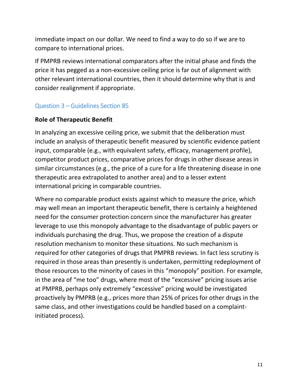immediate impact on our dollar. We need to find a way to do so if we are to compare to international prices.

If PMPRB reviews international comparators after the initial phase and finds the price it has pegged as a non-excessive ceiling price is far out of alignment with other relevant international countries, then it should determine why that is and consider realignment if appropriate.

#### Question 3 – Guidelines Section 85

#### **Role of Therapeutic Benefit**

In analyzing an excessive ceiling price, we submit that the deliberation must include an analysis of therapeutic benefit measured by scientific evidence patient input, comparable (e.g., with equivalent safety, efficacy, management profile), competitor product prices, comparative prices for drugs in other disease areas in similar circumstances (e.g., the price of a cure for a life threatening disease in one therapeutic area extrapolated to another area) and to a lesser extent international pricing in comparable countries.

Where no comparable product exists against which to measure the price, which may well mean an important therapeutic benefit, there is certainly a heightened need for the consumer protection concern since the manufacturer has greater leverage to use this monopoly advantage to the disadvantage of public payers or individuals purchasing the drug. Thus, we propose the creation of a dispute resolution mechanism to monitor these situations. No such mechanism is required for other categories of drugs that PMPRB reviews. In fact less scrutiny is required in those areas than presently is undertaken, permitting redeployment of those resources to the minority of cases in this "monopoly" position. For example, in the area of "me too" drugs, where most of the "excessive" pricing issues arise at PMPRB, perhaps only extremely "excessive" pricing would be investigated proactively by PMPRB (e.g., prices more than 25% of prices for other drugs in the same class, and other investigations could be handled based on a complaintinitiated process).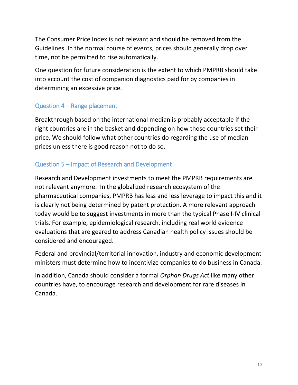The Consumer Price Index is not relevant and should be removed from the Guidelines. In the normal course of events, prices should generally drop over time, not be permitted to rise automatically.

One question for future consideration is the extent to which PMPRB should take into account the cost of companion diagnostics paid for by companies in determining an excessive price.

#### Question 4 – Range placement

Breakthrough based on the international median is probably acceptable if the right countries are in the basket and depending on how those countries set their price. We should follow what other countries do regarding the use of median prices unless there is good reason not to do so.

#### Question 5 – Impact of Research and Development

Research and Development investments to meet the PMPRB requirements are not relevant anymore. In the globalized research ecosystem of the pharmaceutical companies, PMPRB has less and less leverage to impact this and it is clearly not being determined by patent protection. A more relevant approach today would be to suggest investments in more than the typical Phase I-IV clinical trials. For example, epidemiological research, including real world evidence evaluations that are geared to address Canadian health policy issues should be considered and encouraged.

Federal and provincial/territorial innovation, industry and economic development ministers must determine how to incentivize companies to do business in Canada.

In addition, Canada should consider a formal *Orphan Drugs Act* like many other countries have, to encourage research and development for rare diseases in Canada.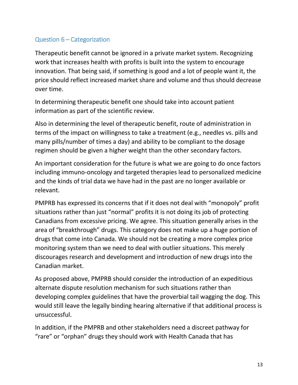#### Question 6 – Categorization

Therapeutic benefit cannot be ignored in a private market system. Recognizing work that increases health with profits is built into the system to encourage innovation. That being said, if something is good and a lot of people want it, the price should reflect increased market share and volume and thus should decrease over time.

In determining therapeutic benefit one should take into account patient information as part of the scientific review.

Also in determining the level of therapeutic benefit, route of administration in terms of the impact on willingness to take a treatment (e.g., needles vs. pills and many pills/number of times a day) and ability to be compliant to the dosage regimen should be given a higher weight than the other secondary factors.

An important consideration for the future is what we are going to do once factors including immuno-oncology and targeted therapies lead to personalized medicine and the kinds of trial data we have had in the past are no longer available or relevant.

PMPRB has expressed its concerns that if it does not deal with "monopoly" profit situations rather than just "normal" profits it is not doing its job of protecting Canadians from excessive pricing. We agree. This situation generally arises in the area of "breakthrough" drugs. This category does not make up a huge portion of drugs that come into Canada. We should not be creating a more complex price monitoring system than we need to deal with outlier situations. This merely discourages research and development and introduction of new drugs into the Canadian market.

As proposed above, PMPRB should consider the introduction of an expeditious alternate dispute resolution mechanism for such situations rather than developing complex guidelines that have the proverbial tail wagging the dog. This would still leave the legally binding hearing alternative if that additional process is unsuccessful.

In addition, if the PMPRB and other stakeholders need a discreet pathway for "rare" or "orphan" drugs they should work with Health Canada that has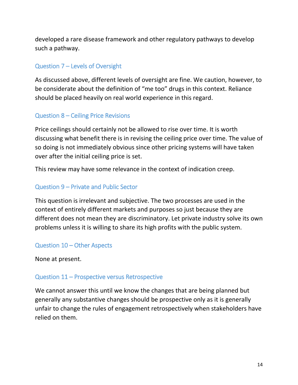developed a rare disease framework and other regulatory pathways to develop such a pathway.

#### Question 7 – Levels of Oversight

As discussed above, different levels of oversight are fine. We caution, however, to be considerate about the definition of "me too" drugs in this context. Reliance should be placed heavily on real world experience in this regard.

#### Question 8 – Ceiling Price Revisions

Price ceilings should certainly not be allowed to rise over time. It is worth discussing what benefit there is in revising the ceiling price over time. The value of so doing is not immediately obvious since other pricing systems will have taken over after the initial ceiling price is set.

This review may have some relevance in the context of indication creep.

#### Question 9 – Private and Public Sector

This question is irrelevant and subjective. The two processes are used in the context of entirely different markets and purposes so just because they are different does not mean they are discriminatory. Let private industry solve its own problems unless it is willing to share its high profits with the public system.

#### Question 10 – Other Aspects

None at present.

#### Question 11 – Prospective versus Retrospective

We cannot answer this until we know the changes that are being planned but generally any substantive changes should be prospective only as it is generally unfair to change the rules of engagement retrospectively when stakeholders have relied on them.